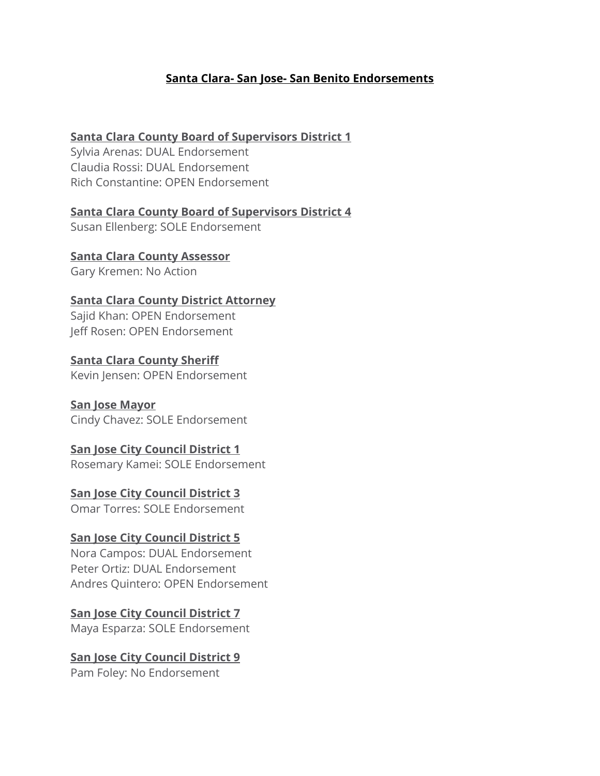### **Santa Clara- San Jose- San Benito Endorsements**

### **Santa Clara County Board of Supervisors District 1**

Sylvia Arenas: DUAL Endorsement Claudia Rossi: DUAL Endorsement Rich Constantine: OPEN Endorsement

**Santa Clara County Board of Supervisors District 4** Susan Ellenberg: SOLE Endorsement

**Santa Clara County Assessor** Gary Kremen: No Action

**Santa Clara County District Attorney** Sajid Khan: OPEN Endorsement Jeff Rosen: OPEN Endorsement

**Santa Clara County Sheriff** Kevin Jensen: OPEN Endorsement

**San Jose Mayor** Cindy Chavez: SOLE Endorsement

### **San Jose City Council District 1**

Rosemary Kamei: SOLE Endorsement

**San Jose City Council District 3** Omar Torres: SOLE Endorsement

# **San Jose City Council District 5**

Nora Campos: DUAL Endorsement Peter Ortiz: DUAL Endorsement Andres Quintero: OPEN Endorsement

## **San Jose City Council District 7**

Maya Esparza: SOLE Endorsement

### **San Jose City Council District 9** Pam Foley: No Endorsement